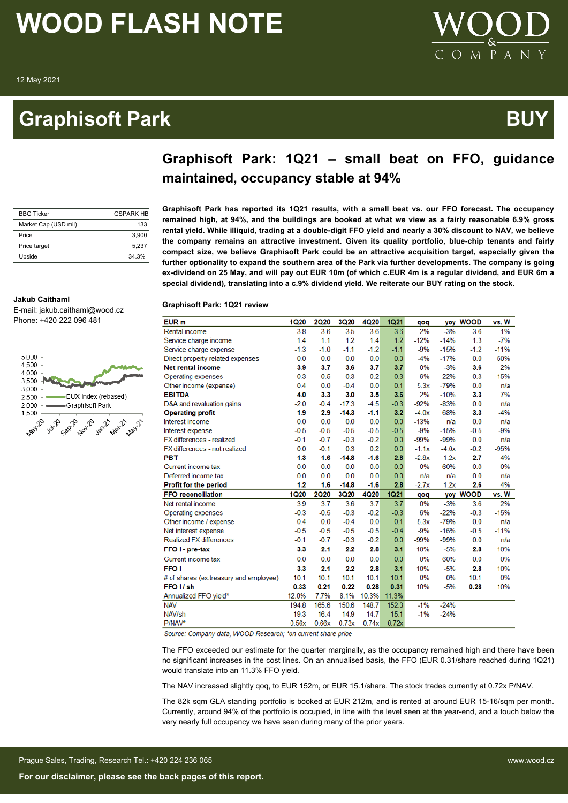**Jakub Caithaml**

5.000 4,500 4,000 3,500 3.000

2500

2.000 1,500 **May20** 

### **Graphisoft Park Australian Control Control Control Control Control Control Control Control Control Control Co**



| Graphisoft Park: 1Q21 – small beat on FFO, guidance |  |  |  |  |
|-----------------------------------------------------|--|--|--|--|
| maintained, occupancy stable at 94%                 |  |  |  |  |

| <b>BBG Ticker</b>    | <b>GSPARK HR</b> |
|----------------------|------------------|
| Market Cap (USD mil) | 133              |
| Price                | 3.900            |
| Price target         | 5.237            |
| Upside               | 34 3%            |

E-mail: jakub.caithaml@wood.cz Phone: +420 222 096 481

Sept 1

BUX Index (rebased)

Nov-20 Jan-21

**Algi**st

Graphisoft Park

**Graphisoft Park has reported its 1Q21 results, with a small beat vs. our FFO forecast. The occupancy remained high, at 94%, and the buildings are booked at what we view as a fairly reasonable 6.9% gross rental yield. While illiquid, trading at a double-digit FFO yield and nearly a 30% discount to NAV, we believe the company remains an attractive investment. Given its quality portfolio, blue-chip tenants and fairly compact size, we believe Graphisoft Park could be an attractive acquisition target, especially given the further optionality to expand the southern area of the Park via further developments. The company is going ex-dividend on 25 May, and will pay out EUR 10m (of which c.EUR 4m is a regular dividend, and EUR 6m a special dividend), translating into a c.9% dividend yield. We reiterate our BUY rating on the stock.**

#### **Graphisoft Park: 1Q21 review**

| EUR <sub>m</sub>                       | <b>1Q20</b> | <b>2Q20</b> | 3Q20        | 4Q20   | <b>1Q21</b> | qoq     | yoy     | <b>WOOD</b> | vs. W  |
|----------------------------------------|-------------|-------------|-------------|--------|-------------|---------|---------|-------------|--------|
| <b>Rental income</b>                   | 3.8         | 3.6         | 3.5         | 3.6    | 3.6         | 2%      | $-3%$   | 3.6         | 1%     |
| Service charge income                  | 1.4         | 1.1         | 1.2         | 1.4    | 1.2         | $-12%$  | $-14%$  | 1.3         | $-7%$  |
| Service charge expense                 | $-1.3$      | $-1.0$      | $-1.1$      | $-1.2$ | $-1.1$      | $-9%$   | $-15%$  | $-1.2$      | $-11%$ |
| Direct property related expenses       | 0.0         | 0.0         | 0.0         | 0.0    | 0.0         | $-4%$   | $-17%$  | 0.0         | 50%    |
| <b>Net rental income</b>               | 3.9         | 3.7         | 3.6         | 3.7    | 3.7         | 0%      | $-3%$   | 3.6         | 2%     |
| Operating expenses                     | $-0.3$      | $-0.5$      | $-0.3$      | $-0.2$ | $-0.3$      | 6%      | $-22%$  | $-0.3$      | $-15%$ |
| Other income (expense)                 | 0.4         | 0.0         | $-0.4$      | 0.0    | 0.1         | 5.3x    | $-79%$  | 0.0         | n/a    |
| <b>EBITDA</b>                          | 4.0         | 3.3         | 3.0         | 3.5    | 3.6         | 2%      | $-10%$  | 3.3         | 7%     |
| D&A and revaluation gains              | $-2.0$      | $-0.4$      | $-17.3$     | $-4.5$ | $-0.3$      | $-92%$  | $-83%$  | 0.0         | n/a    |
| <b>Operating profit</b>                | 1.9         | 2.9         | $-14.3$     | $-1.1$ | 3.2         | $-4.0x$ | 68%     | 3.3         | $-4%$  |
| Interest income                        | 0.0         | 0.0         | 0.0         | 0.0    | 0.0         | $-13%$  | n/a     | 0.0         | n/a    |
| Interest expense                       | $-0.5$      | $-0.5$      | $-0.5$      | $-0.5$ | $-0.5$      | $-9%$   | $-15%$  | $-0.5$      | $-9%$  |
| FX differences - realized              | $-0.1$      | $-0.7$      | $-0.3$      | $-0.2$ | 0.0         | $-99%$  | $-99%$  | 0.0         | n/a    |
| FX differences - not realized          | 0.0         | $-0.1$      | 0.3         | 0.2    | 0.0         | $-1.1x$ | $-4.0x$ | $-0.2$      | $-95%$ |
| <b>PBT</b>                             | 1.3         | 1.6         | $-14.8$     | $-1.6$ | 2.8         | $-2.8x$ | 1.2x    | 2.7         | 4%     |
| Current income tax                     | 0.0         | 0.0         | 0.0         | 0.0    | 0.0         | 0%      | 60%     | 0.0         | 0%     |
| Deferred income tax                    | 0.0         | 0.0         | 0.0         | 0.0    | 0.0         | n/a     | n/a     | 0.0         | n/a    |
| <b>Profit for the period</b>           | 1.2         | 1.6         | $-14.8$     | $-1.6$ | 2.8         | $-2.7x$ | 1.2x    | 2.6         | 4%     |
| <b>FFO reconciliation</b>              | <b>1Q20</b> | <b>2Q20</b> | <b>3Q20</b> | 4Q20   | <b>1Q21</b> | pop     | yoy     | <b>WOOD</b> | vs. W  |
| Net rental income                      | 3.9         | 3.7         | 3.6         | 3.7    | 3.7         | 0%      | $-3%$   | 3.6         | 2%     |
| Operating expenses                     | $-0.3$      | $-0.5$      | $-0.3$      | $-0.2$ | $-0.3$      | 6%      | $-22%$  | $-0.3$      | $-15%$ |
| Other income / expense                 | 0.4         | 0.0         | $-0.4$      | 0.0    | 0.1         | 5.3x    | $-79%$  | 0.0         | n/a    |
| Net interest expense                   | $-0.5$      | $-0.5$      | $-0.5$      | $-0.5$ | $-0.4$      | $-9%$   | $-16%$  | $-0.5$      | $-11%$ |
| <b>Realized FX differences</b>         | $-0.1$      | $-0.7$      | $-0.3$      | $-0.2$ | 0.0         | $-99%$  | $-99%$  | 0.0         | n/a    |
| FFO I - pre-tax                        | 3.3         | 2.1         | 2.2         | 2.8    | 3.1         | 10%     | $-5%$   | 2.8         | 10%    |
| Current income tax                     | 0.0         | 0.0         | 0.0         | 0.0    | 0.0         | 0%      | 60%     | 0.0         | 0%     |
| FFO <sub>1</sub>                       | 3.3         | 2.1         | 2.2         | 2.8    | 3.1         | 10%     | $-5%$   | 2.8         | 10%    |
| # of shares (ex.treasury and employee) | 10.1        | 10.1        | 10.1        | 10.1   | 10.1        | 0%      | 0%      | 10.1        | 0%     |
| FFO <sub>I</sub> /sh                   | 0.33        | 0.21        | 0.22        | 0.28   | 0.31        | 10%     | $-5%$   | 0.28        | 10%    |
| Annualized FFO yield*                  | 12.0%       | 7.7%        | 8.1%        | 10.3%  | 11.3%       |         |         |             |        |
| <b>NAV</b>                             | 194.8       | 165.6       | 150.6       | 148.7  | 152.3       | $-1%$   | $-24%$  |             |        |
| NAV/sh                                 | 19.3        | 16.4        | 14.9        | 14.7   | 15.1        | $-1%$   | $-24%$  |             |        |
| P/NAV*                                 | 0.56x       | 0.66x       | 0.73x       | 0.74x  | 0.72x       |         |         |             |        |

Source: Company data, WOOD Research: \*on current share price

The FFO exceeded our estimate for the quarter marginally, as the occupancy remained high and there have been no significant increases in the cost lines. On an annualised basis, the FFO (EUR 0.31/share reached during 1Q21) would translate into an 11.3% FFO yield.

The NAV increased slightly qoq, to EUR 152m, or EUR 15.1/share. The stock trades currently at 0.72x P/NAV.

The 82k sqm GLA standing portfolio is booked at EUR 212m, and is rented at around EUR 15-16/sqm per month. Currently, around 94% of the portfolio is occupied, in line with the level seen at the year-end, and a touch below the very nearly full occupancy we have seen during many of the prior years.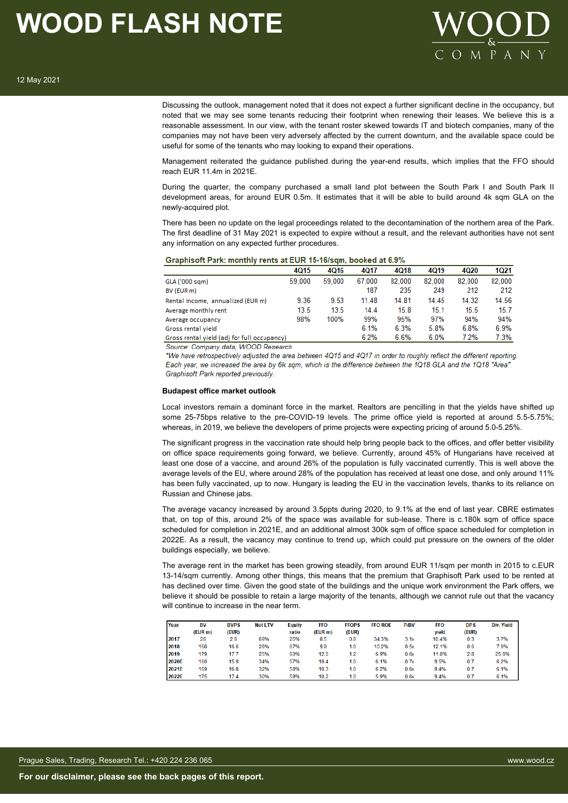

Discussing the outlook, management noted that it does not expect a further significant decline in the occupancy, but noted that we may see some tenants reducing their footprint when renewing their leases. We believe this is a reasonable assessment. In our view, with the tenant roster skewed towards IT and biotech companies, many of the companies may not have been very adversely affected by the current downturn, and the available space could be useful for some of the tenants who may looking to expand their operations.

Management reiterated the guidance published during the year-end results, which implies that the FFO should reach EUR 11.4m in 2021E.

During the quarter, the company purchased a small land plot between the South Park I and South Park II development areas, for around EUR 0.5m. It estimates that it will be able to build around 4k sqm GLA on the newly-acquired plot.

There has been no update on the legal proceedings related to the decontamination of the northern area of the Park. The first deadline of 31 May 2021 is expected to expire without a result, and the relevant authorities have not sent any information on any expected further procedures.

|                                             | 4015   | 4016   | 4017   | 4Q18   | 4Q19   | 4020   | 1Q21   |
|---------------------------------------------|--------|--------|--------|--------|--------|--------|--------|
| GLA ('000 sqm)                              | 59,000 | 59.000 | 67.000 | 82,000 | 82.000 | 82,000 | 82.000 |
| BV (EUR m)                                  |        |        | 187    | 235    | 249    | 212    | 212    |
| Rental income, annualized (EUR m)           | 9.36   | 9.53   | 11.48  | 14.81  | 14.45  | 14.32  | 14.56  |
| Average monthly rent                        | 13.5   | 13.5   | 14.4   | 15.8   | 15.1   | 15.5   | 15.7   |
| Average occupancy                           | 98%    | 100%   | 99%    | 95%    | 97%    | 94%    | 94%    |
| Gross rental yield                          |        |        | 6.1%   | 6.3%   | 5.8%   | 6.8%   | 6.9%   |
| Gross rental yield (adj for full occupancy) |        |        | 6.2%   | 6.6%   | 6.0%   | 7.2%   | 7.3%   |

Source: Company data; WOOD Research

\*We have retrospectively adjusted the area between 4Q15 and 4Q17 in order to roughly reflect the different reporting. Each year, we increased the area by 6k sqm, which is the difference between the 1Q18 GLA and the 1Q18 "Area" Graphisoft Park reported previously.

#### **Budapest office market outlook**

Local investors remain a dominant force in the market. Realtors are pencilling in that the yields have shifted up some 25-75bps relative to the pre-COVID-19 levels. The prime office yield is reported at around 5.5-5.75%; whereas, in 2019, we believe the developers of prime projects were expecting pricing of around 5.0-5.25%.

The significant progress in the vaccination rate should help bring people back to the offices, and offer better visibility on office space requirements going forward, we believe. Currently, around 45% of Hungarians have received at least one dose of a vaccine, and around 26% of the population is fully vaccinated currently. This is well above the average levels of the EU, where around 28% of the population has received at least one dose, and only around 11% has been fully vaccinated, up to now. Hungary is leading the EU in the vaccination levels, thanks to its reliance on Russian and Chinese jabs.

The average vacancy increased by around 3.5ppts during 2020, to 9.1% at the end of last year. CBRE estimates that, on top of this, around 2% of the space was available for sub-lease. There is c.180k sqm of office space scheduled for completion in 2021E, and an additional almost 300k sqm of office space scheduled for completion in 2022E. As a result, the vacancy may continue to trend up, which could put pressure on the owners of the older buildings especially, we believe.

The average rent in the market has been growing steadily, from around EUR 11/sqm per month in 2015 to c.EUR 13-14/sqm currently. Among other things, this means that the premium that Graphisoft Park used to be rented at has declined over time. Given the good state of the buildings and the unique work environment the Park offers, we believe it should be possible to retain a large majority of the tenants, although we cannot rule out that the vacancy will continue to increase in the near term.

| Year  | <b>BV</b> | <b>BVPS</b> | <b>Net LTV</b> | <b>Equity</b> | <b>FFO</b> | <b>FFOPS</b> | <b>FFO ROE</b> | <b>P/BV</b> | <b>FFO</b> | <b>DPS</b> | Div. Yield |
|-------|-----------|-------------|----------------|---------------|------------|--------------|----------------|-------------|------------|------------|------------|
|       | (EUR m)   | (EUR)       |                | ratio         | (EUR m)    | (EUR)        |                |             | vield      | (EUR)      |            |
| 2017  | 26        | 2.6         | 69%            | 25%           | 8.5        | 0.8          | 34.3%          | 3.1x        | 10.4%      | 0.3        | 3.7%       |
| 2018  | 168       | 16.6        | 28%            | 67%           | 9.9        | 1.0          | 10.2%          | 0.5x        | 12.1%      | 0.6        | 7.9%       |
| 2019  | 179       | 17.7        | 25%            | 60%           | 12.0       | 1.2          | 6.9%           | 0.6x        | 11.0%      | 2.8        | 25.6%      |
| 2020E | 160       | 15.9        | 34%            | 57%           | 10.4       | 1.0          | 6.1%           | 0.7x        | 9.5%       | 0.7        | 6.2%       |
| 2021E | 169       | 16.8        | 32%            | 58%           | 10.3       | 1.0          | 6.2%           | 0.6x        | 9.4%       | 0.7        | 6.1%       |
| 2022E | 175       | 17.4        | 30%            | 59%           | 10.2       | 1.0          | 5.9%           | 0.6x        | 9.4%       | 0.7        | 6.1%       |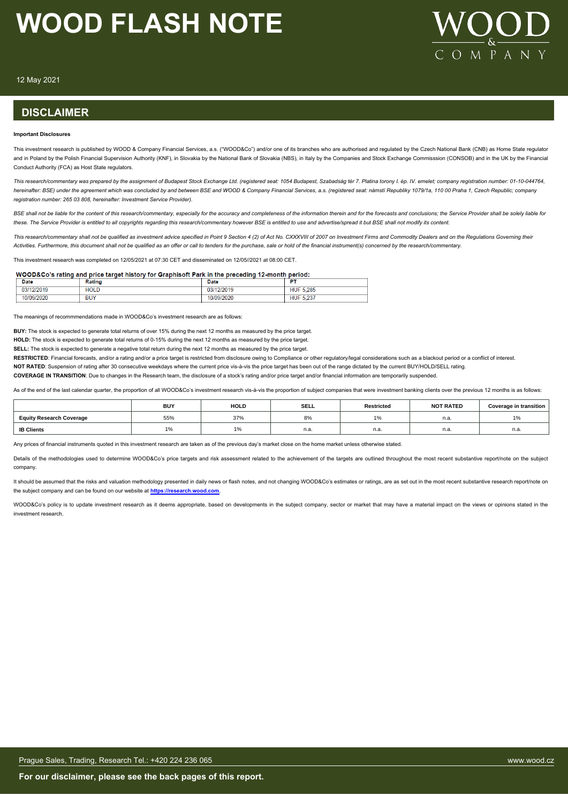

12 May 2021

#### **DISCLAIMER**

#### **Important Disclosures**

This investment research is published by WOOD & Company Financial Services, a.s. ("WOOD&Co") and/or one of its branches who are authorised and regulated by the Czech National Bank (CNB) as Home State regulator and in Poland by the Polish Financial Supervision Authority (KNF), in Slovakia by the National Bank of Slovakia (NBS), in Italy by the Companies and Stock Exchange Commisssion (CONSOB) and in the UK by the Financial Conduct Authority (FCA) as Host State regulators.

*This research/commentary was prepared by the assignment of Budapest Stock Exchange Ltd. (registered seat: 1054 Budapest, Szabadság tér 7. Platina torony I. ép. IV. emelet; company registration number: 01-10-044764, hereinafter: BSE) under the agreement which was concluded by and between BSE and WOOD & Company Financial Services, a.s. (registered seat: námstí Republiky 1079/1a, 110 00 Praha 1, Czech Republic; company registration number: 265 03 808, hereinafter: Investment Service Provider).*

BSE shall not be liable for the content of this research/commentary, especially for the accuracy and completeness of the information therein and for the forecasts and conclusions; the Service Provider shall be solely liabl *these. The Service Provider is entitled to all copyrights regarding this research/commentary however BSE is entitled to use and advertise/spread it but BSE shall not modify its content.*

*This research/commentary shall not be qualified as investment advice specified in Point 9 Section 4 (2) of Act No. CXXXVIII of 2007 on Investment Firms and Commodity Dealers and on the Regulations Governing their Activities. Furthermore, this document shall not be qualified as an offer or call to tenders for the purchase, sale or hold of the financial instrument(s) concerned by the research/commentary.*

This investment research was completed on 12/05/2021 at 07:30 CET and disseminated on 12/05//2021 at 08:00 CET.

#### WOOD&Co's rating and price target history for Graphisoft Park in the preceding 12-month period:

| <b>Date</b> | Ratino     | Date        | --                  |
|-------------|------------|-------------|---------------------|
| 03          | HOLL       | '2019<br>vJ | 5.285<br>וטר        |
|             | <b>BUY</b> | 2020        | 007<br>HUM<br>U.ZU. |

The meanings of recommmendations made in WOOD&Co's investment research are as follows:

**BUY:** The stock is expected to generate total returns of over 15% during the next 12 months as measured by the price target.

**HOLD:** The stock is expected to generate total returns of 0-15% during the next 12 months as measured by the price target.

**SELL:** The stock is expected to generate a negative total return during the next 12 months as measured by the price target.

RESTRICTED: Financial forecasts, and/or a rating and/or a price target is restricted from disclosure owing to Compliance or other regulatory/legal considerations such as a blackout period or a conflict of interest.

**NOT RATED**: Suspension of rating after 30 consecutive weekdays where the current price vis-à-vis the price target has been out of the range dictated by the current BUY/HOLD/SELL rating.

**COVERAGE IN TRANSITION**: Due to changes in the Research team, the disclosure of a stock's rating and/or price target and/or financial information are temporarily suspended.

As of the end of the last calendar quarter, the proportion of all WOOD&Co's investment research vis-à-vis the proportion of subject companies that were investment banking clients over the previous 12 months is as follows:

|                                 | <b>BUY</b>               | <b>HOLD</b> | SELL | <b>Restricted</b> | <b>NOT RATED</b> | <b>Coverage in transition</b>    |
|---------------------------------|--------------------------|-------------|------|-------------------|------------------|----------------------------------|
| <b>Equity Research Coverage</b> | 55%                      | 37%         | ୪%   |                   | n.a.             | 10 <sub>l</sub><br>$\frac{1}{2}$ |
| <b>IB Clients</b>               | $\overline{\phantom{a}}$ |             | n.a. | n.a.              | n.a.             | n.a.                             |

Any prices of financial instruments quoted in this investment research are taken as of the previous day's market close on the home market unless otherwise stated

Details of the methodologies used to determine WOOD&Co's price targets and risk assessment related to the achievement of the targets are outlined throughout the most recent substantive report/note on the subject company.

It should be assumed that the risks and valuation methodology presented in daily news or flash notes, and not changing WOOD&Co's estimates or ratings, are as set out in the most recent substantive research report/note on the subject company and can be found on our website at **[https://research.wood.com](https://research.wood.com/)**.

WOOD&Co's policy is to update investment research as it deems appropriate, based on developments in the subject company, sector or market that may have a material impact on the views or opinions stated in the investment research.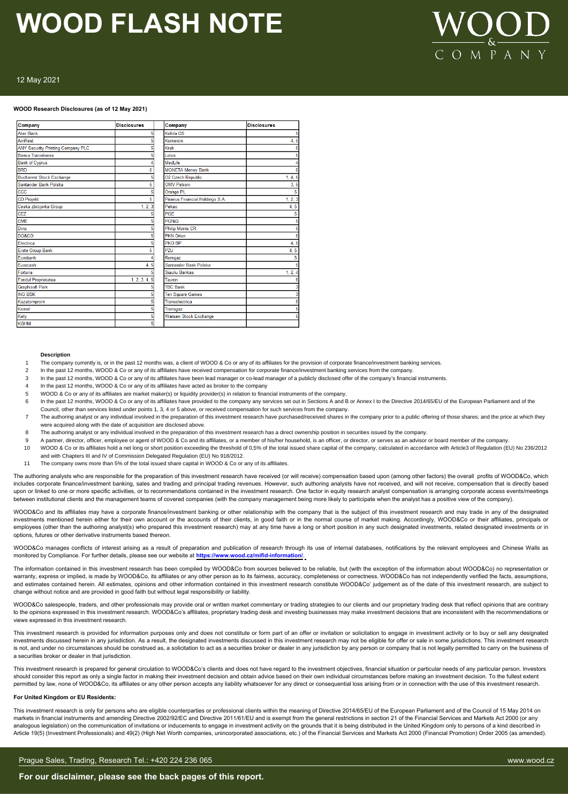# $M \overline{P} A$

#### 12 May 2021

#### **WOOD Research Disclosures (as of 12 May 2021)**

| Company                                  | <b>Disclosures</b> | Company                         | <b>Disclosures</b> |
|------------------------------------------|--------------------|---------------------------------|--------------------|
| <b>Alior Bank</b>                        | 5                  | Kofola CS                       |                    |
| AmRest                                   |                    | Komercni                        | 4, 5               |
| <b>ANY Security Printing Company PLC</b> |                    | Kruk                            |                    |
| Banca Transilvania                       |                    | <b>Lotos</b>                    |                    |
| <b>Bank of Cyprus</b>                    |                    | MedLife                         |                    |
| <b>BRD</b>                               | 5                  | <b>MONETA Money Bank</b>        |                    |
| <b>Bucharest Stock Exchange</b>          |                    | O2 Czech Republic               | 1, 4, 5            |
| Santander Bank Polska                    | 5                  | <b>OMV Petrom</b>               | 3, 5               |
| ccc                                      |                    | Orange PL                       | 5                  |
| <b>CD Projekt</b>                        | 5                  | Piraeus Financial Holdings S.A. | 1, 2, 3            |
| Ceska zbrojovka Group                    | 1, 2, 3            | Pekao                           | 4, 5               |
| <b>CEZ</b>                               |                    | PGE                             |                    |
| <b>CME</b>                               |                    | <b>PGNiG</b>                    |                    |
| Dino                                     |                    | <b>Philip Morris CR</b>         |                    |
| <b>DO&amp;CO</b>                         |                    | <b>PKN Orlen</b>                |                    |
| Electrica                                |                    | PKO BP                          | 4,5                |
| <b>Erste Group Bank</b>                  | 5                  | PZU                             | 4, 5               |
| Eurobank                                 |                    | Romgaz                          | 5                  |
| Eurocash                                 | 4, 5               | Santander Bank Polska           |                    |
| Fortuna                                  |                    | Siauliu Bankas                  | 1, 2, 4            |
| Fondul Proprietatea                      | 1, 2, 3, 4, 5      | Tauron                          |                    |
| <b>Graphisoft Park</b>                   |                    | <b>TBC Bank</b>                 |                    |
| <b>ING BSK</b>                           |                    | <b>Ten Square Games</b>         |                    |
| Kazatomprom                              |                    | Transelectrica                  |                    |
| Kernel                                   |                    | Transgaz                        |                    |
| Kety                                     |                    | <b>Warsaw Stock Exchange</b>    |                    |
| <b>KGHM</b>                              | 5                  |                                 |                    |

#### **Description**

- The company currently is, or in the past 12 months was, a client of WOOD & Co or any of its affiliates for the provision of corporate finance/investment banking services
- 2 In the past 12 months, WOOD & Co or any of its affiliates have received compensation for corporate finance/investment banking services from the company.
- 3 In the past 12 months, WOOD & Co or any of its affiliates have been lead manager or co-lead manager of a publicly disclosed offer of the company's financial instruments
- In the past 12 months, WOOD & Co or any of its affiliates have acted as broker to the company
- 5 WOOD & Co or any of its affiliates are market maker(s) or liquidity provider(s) in relation to financial instruments of the company.
- In the past 12 months, WOOD & Co or any of its affiliates have provided to the company any services set out in Sections A and B or Annex I to the Directive 2014/65/EU of the European Parliament and of the
- Council, other than services listed under points 1, 3, 4 or 5 above, or received compensation for such services from the company.
- 7 The authoring analyst or any individual involved in the preparation of this investment research have purchased/received shares in the company prior to a public offering of those shares; and the price at which they were acquired along with the date of acquisition are disclosed above.
- 8 The authoring analyst or any individual involved in the preparation of this investment research has a direct ownership position in securities issued by the company.
- 9 A partner, director, officer, employee or agent of WOOD & Co and its affiliates, or a member of his/her household, is an officer, or director, or serves as an advisor or board member of the company.
- 10 WOOD & Co or its affiliates hold a net long or short position exceeding the threshold of 0,5% of the total issued share capital of the company, calculated in accordance with Article3 of Regulation (EU) No 236/2012 and with Chapters III and IV of Commission Delegated Regulation (EU) No 918/2012.
- 11 The company owns more than 5% of the total issued share capital in WOOD & Co or any of its affiliates.

The authoring analysts who are responsible for the preparation of this investment research have received (or will receive) compensation based upon (among other factors) the overall profits of WOOD&Co, which includes corporate finance/investment banking, sales and trading and principal trading revenues. However, such authoring analysts have not received, and will not receive, compensation that is directly based upon or linked to one or more specific activities, or to recommendations contained in the investment research. One factor in equity research analyst compensation is arranging corporate access events/meetings between institutional clients and the management teams of covered companies (with the company management being more likely to participate when the analyst has a positive view of the company).

WOOD&Co and its affiliates may have a corporate finance/investment banking or other relationship with the company that is the subject of this investment research and may trade in any of the designated investments mentioned herein either for their own account or the accounts of their clients, in good faith or in the normal course of market making. Accordingly, WOOD&Co or their affiliates, principals or employees (other than the authoring analyst(s) who prepared this investment research) may at any time have a long or short position in any such designated investments, related designated investments or in options, futures or other derivative instruments based thereon.

WOOD&Co manages conflicts of interest arising as a result of preparation and publication of research through its use of internal databases, notifications by the relevant employees and Chinese Walls as monitored by Compliance. For further details, please see our website at **https://www.wood.cz/mifid-information/**.

The information contained in this investment research has been compiled by WOOD&Co from sources believed to be reliable, but (with the exception of the information about WOOD&Co) no representation or warranty, express or implied, is made by WOOD&Co, its affiliates or any other person as to its fairness, accuracy, completeness or correctness. WOOD&Co has not independently verified the facts, assumptions, and estimates contained herein. All estimates, opinions and other information contained in this investment research constitute WOOD&Co' judgement as of the date of this investment research, are subject to change without notice and are provided in good faith but without legal responsibility or liability.

WOOD&Co salespeople, traders, and other professionals may provide oral or written market commentary or trading strategies to our clients and our proprietary trading desk that reflect opinions that are contrary to the opinions expressed in this investment research. WOOD&Co's affiliates, proprietary trading desk and investing businesses may make investment decisions that are inconsistent with the recommendations or views expressed in this investment research.

This investment research is provided for information purposes only and does not constitute or form part of an offer or invitation or solicitation to engage in investment activity or to buy or sell any designated investments discussed herein in any jurisdiction. As a result, the designated investments discussed in this investment research may not be eligible for offer or sale in some jurisdictions. This investment research is not, and under no circumstances should be construed as, a solicitation to act as a securities broker or dealer in any jurisdiction by any person or company that is not legally permitted to carry on the business of a securities broker or dealer in that jurisdiction.

This investment research is prepared for general circulation to WOOD&Co's clients and does not have regard to the investment objectives, financial situation or particular needs of any particular person. Investors should consider this report as only a single factor in making their investment decision and obtain advice based on their own individual circumstances before making an investment decision. To the fullest extent permitted by law, none of WOOD&Co, its affiliates or any other person accepts any liability whatsoever for any direct or consequential loss arising from or in connection with the use of this investment research.

#### **For United Kingdom or EU Residents:**

This investment research is only for persons who are eligible counterparties or professional clients within the meaning of Directive 2014/65/EU of the European Parliament and of the Council of 15 May 2014 on markets in financial instruments and amending Directive 2002/92/EC and Directive 2011/61/EU and is exempt from the general restrictions in section 21 of the Financial Services and Markets Act 2000 (or any analogous legislation) on the communication of invitations or inducements to engage in investment activity on the grounds that it is being distributed in the United Kingdom only to persons of a kind described in Article 19(5) (Investment Professionals) and 49(2) (High Net Worth companies, unincorporated associations, etc.) of the Financial Services and Markets Act 2000 (Financial Promotion) Order 2005 (as amended).

#### Prague Sales, Trading, Research Tel.: +420 224 236 065 www.wood.cz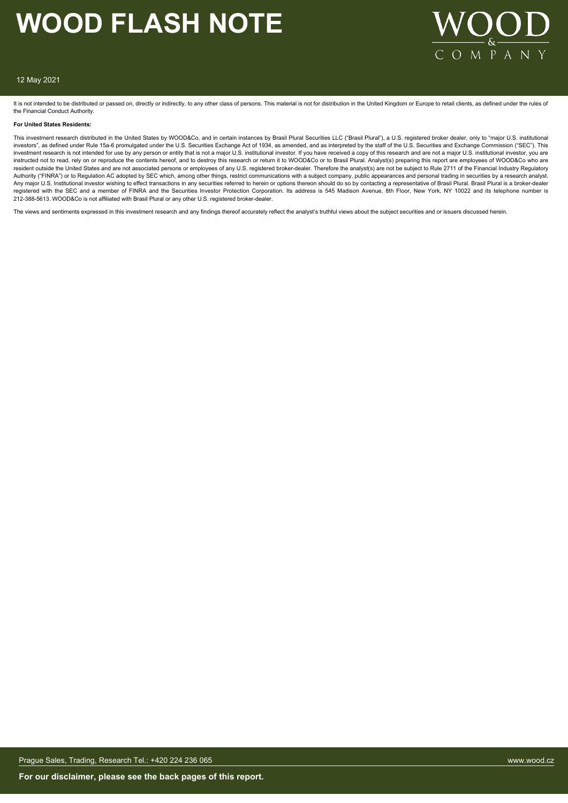

#### 12 May 2021

It is not intended to be distributed or passed on, directly or indirectly, to any other class of persons. This material is not for distribution in the United Kingdom or Europe to retail clients, as defined under the rules the Financial Conduct Authority.

#### **For United States Residents:**

This investment research distributed in the United States by WOOD&Co, and in certain instances by Brasil Plural Securities LLC ("Brasil Plural"), a U.S. registered broker dealer, only to "major U.S. institutional investors", as defined under Rule 15a-6 promulgated under the U.S. Securities Exchange Act of 1934, as amended, and as interpreted by the staff of the U.S. Securities and Exchange Commission ("SEC"). This investment research is not intended for use by any person or entity that is not a major U.S. institutional investor. If you have received a copy of this research and are not a major U.S. institutional investor, you are instructed not to read, rely on or reproduce the contents hereof, and to destroy this research or return it to WOOD&Co or to Brasil Plural. Analyst(s) preparing this report are employees of WOOD&Co who are resident outside the United States and are not associated persons or employees of any U.S. registered broker-dealer. Therefore the analyst(s) are not be subject to Rule 2711 of the Financial Industry Regulatory Authority ("FINRA") or to Regulation AC adopted by SEC which, among other things, restrict communications with a subject company, public appearances and personal trading in securities by a research analyst. Any major U.S. Institutional investor wishing to effect transactions in any securities referred to herein or options thereon should do so by contacting a representative of Brasil Plural. Brasil Plural is a broker-dealer<br>re 212-388-5613. WOOD&Co is not affiliated with Brasil Plural or any other U.S. registered broker-dealer.

The views and sentiments expressed in this investment research and any findings thereof accurately reflect the analyst's truthful views about the subject securities and or issuers discussed herein.